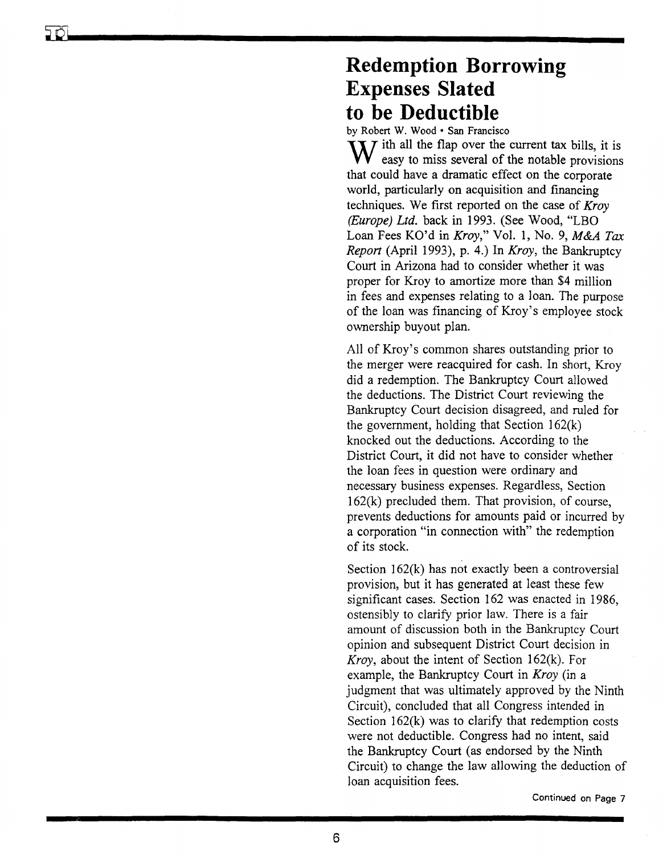## **Redemption Borrowing Expenses Slated to be Deductible**

by Robert W. Wood· San Francisco

 $\mathbf{X} \mathbf{Y}$  ith all the flap over the current tax bills, it is easy to miss several of the notable provisions that could have a dramatic effect on the corporate world, particularly on acquisition and financing techniques. We first reported on the case of *Kroy (Europe) Ltd.* back in 1993. (See Wood, "LBO Loan Fees KO'd in *Kroy,"* Vol. 1, No.9, *M&A Tax Report* (April 1993), p. 4.) In *Kroy,* the Bankruptcy Court in Arizona had to consider whether it was proper for Kroy to amortize more than \$4 million in fees and expenses relating to a loan. The purpose of the loan was financing of Kroy's employee stock ownership buyout plan.

All of Kroy's common shares outstanding prior to the merger were reacquired for cash. In short, Kroy did a redemption. The Bankruptcy Court allowed the deductions. The District Court reviewing the Bankruptcy Court decision disagreed, and ruled for the government, holding that Section  $162(k)$ knocked out the deductions. According to the District Court, it did not have to consider whether the loan fees in question were ordinary and necessary business expenses. Regardless, Section 162(k) precluded them. That provision, of course, prevents deductions for amounts paid or incurred by a corporation "in connection with" the redemption of its stock.

Section  $162(k)$  has not exactly been a controversial provision, but it has generated at least these few significant cases. Section 162 was enacted in 1986, ostensibly to clarify prior law. There is a fair amount of discussion both in the Bankruptcy Court opinion and subsequent District Court decision in *Kroy,* about the intent of Section 162(k). For example, the Bankruptcy Court in *Kroy* (in a judgment that was ultimately approved by the Ninth Circuit), concluded that all Congress intended in Section  $162(k)$  was to clarify that redemption costs were not deductible. Congress had no intent, said the Bankruptcy Court (as endorsed by the Ninth Circuit) to change the law allowing the deduction of loan acquisition fees.

Continued on Page 7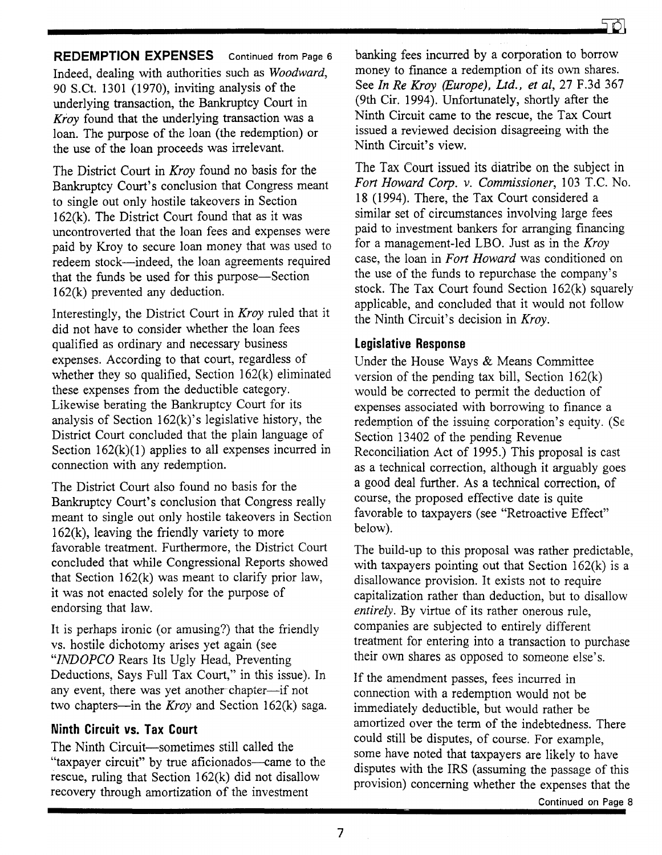**REDEMPTION EXPENSES** Continued from Page 6 Indeed, dealing with authorities such as *Woodward,*  90 S.Ct. 1301 (1970), inviting analysis of the underlying transaction, the Bankruptcy Court in *Kfoy* found that the underlying transaction was a loan. The purpose of the loan (the redemption) or the use of the loan proceeds was irrelevant.

The District Court in *Kroy* found no basis for the Bankruptcy Court's conclusion that Congress meant to single out only hostile takeovers in Section 162(k). The District Court found that as it was uncontroverted that the loan fees and expenses were paid by Kroy to secure loan money that was used to redeem stock-indeed, the loan agreements required that the funds be used for this purpose-Section 162(k) prevented any deduction.

Interestingly, the District Court in *Kroy* ruled that it did not have to consider whether the loan fees qualified as ordinary and necessary business expenses. According to that court, regardless of whether they so qualified, Section 162(k) eliminated these expenses from the deductible category. Likewise berating the Bankruptcy Court for its analysis of Section  $162(k)$ 's legislative history, the District Court concluded that the plain language of Section  $162(k)(1)$  applies to all expenses incurred in connection with any redemption.

The District Court also found no basis for the Bankruptcy Court's conclusion that Congress really meant to single out only hostile takeovers in Section 162(k), leaving the friendly variety to more favorable treatment. Furthermore, the District Court concluded that while Congressional Reports showed that Section 162(k) was meant to clarify prior law, it was not enacted solely for the purpose of endorsing that law.

It is perhaps ironic (or amusing?) that the friendly vs. hostile dichotomy arises yet again (see *"INDOPCO* Rears Its Ugly Head, Preventing Deductions, Says Full Tax Court," in this issue). In any event, there was yet another chapter-if not two chapters-in the *Kroy* and Section 162(k) saga.

## **Ninth Circuit vs. Tax Court**

The Ninth Circuit-sometimes still called the "taxpayer circuit" by true aficionados—came to the rescue, ruling that Section 162(k) did not disallow recovery through amortization of the investment

banking fees incurred by a corporation to borrow money to finance a redemption of its own shares. See *In Re Kroy (Europe), Ltd., et ai,* 27 F.3d 367 (9th Cir. 1994). Unfortunately, shortly after the Ninth Circuit came to the rescue, the Tax Court issued a reviewed decision disagreeing with the Ninth Circuit's view.

The Tax Court issued its diatribe on the subject in *Fort Howard Corp.* v. *Commissioner,* 103 T.C. No. 18 (1994). There, the Tax Court considered a similar set of circumstances involving large fees paid to investment bankers for arranging financing for a management-led LBO. Just as in the *Kroy*  case, the loan in *Fort Howard* was conditioned on the use of the funds to repurchase the company's stock. The Tax Court found Section 162(k) squarely applicable, and concluded that it would not follow the Ninth Circuit's decision in *Kroy.* 

## **legislative Response**

Under the House Ways & Means Committee version of the pending tax bill, Section 162(k) would be corrected to permit the deduction of expenses associated with borrowing to finance a redemption of the issuing corporation's equity. (Se Section 13402 of the pending Revenue Reconciliation Act of 1995.) This proposal is cast as a technical correction, although it arguably goes a good deal further. As a technical correction, of course, the proposed effective date is quite favorable to taxpayers (see "Retroactive Effect" below).

The build-up to this proposal was rather predictable, with taxpayers pointing out that Section 162(k) is a disallowance provision. It exists not to require capitalization rather than deduction, but to disallow *entirely.* By virtue of its rather onerous rule, companies are subjected to entirely different treatment for entering into a transaction to purchase their own shares as opposed to someone else's.

If the amendment passes, fees incurred in connection with a redemption would not be immediately deductible, but would rather be amortized over the term of the indebtedness. There could still be disputes, of course. For example, some have noted that taxpayers are likely to have disputes with the IRS (assuming the passage of this provision) concerning whether the expenses that the